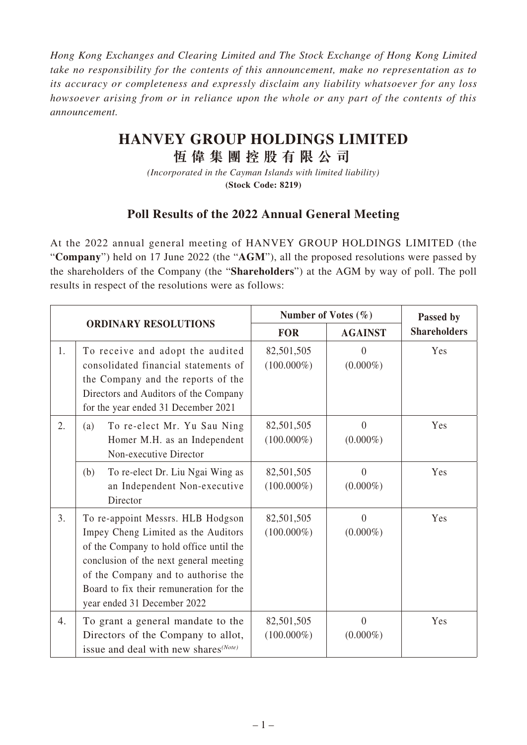*Hong Kong Exchanges and Clearing Limited and The Stock Exchange of Hong Kong Limited take no responsibility for the contents of this announcement, make no representation as to its accuracy or completeness and expressly disclaim any liability whatsoever for any loss howsoever arising from or in reliance upon the whole or any part of the contents of this announcement.*

## **HANVEY GROUP HOLDINGS LIMITED**

**恆偉集團控股有限公司**

*(Incorporated in the Cayman Islands with limited liability)* **(Stock Code: 8219)**

## **Poll Results of the 2022 Annual General Meeting**

At the 2022 annual general meeting of HANVEY GROUP HOLDINGS LIMITED (the "**Company**") held on 17 June 2022 (the "**AGM**"), all the proposed resolutions were passed by the shareholders of the Company (the "**Shareholders**") at the AGM by way of poll. The poll results in respect of the resolutions were as follows:

| <b>ORDINARY RESOLUTIONS</b> |                                                                                                                                                                                                                                                                                | Number of Votes $(\% )$     |                         | Passed by           |
|-----------------------------|--------------------------------------------------------------------------------------------------------------------------------------------------------------------------------------------------------------------------------------------------------------------------------|-----------------------------|-------------------------|---------------------|
|                             |                                                                                                                                                                                                                                                                                | <b>FOR</b>                  | <b>AGAINST</b>          | <b>Shareholders</b> |
| 1.                          | To receive and adopt the audited<br>consolidated financial statements of<br>the Company and the reports of the<br>Directors and Auditors of the Company<br>for the year ended 31 December 2021                                                                                 | 82,501,505<br>$(100.000\%)$ | $\theta$<br>$(0.000\%)$ | Yes                 |
| 2.                          | To re-elect Mr. Yu Sau Ning<br>(a)<br>Homer M.H. as an Independent<br>Non-executive Director                                                                                                                                                                                   | 82,501,505<br>$(100.000\%)$ | $\theta$<br>$(0.000\%)$ | Yes                 |
|                             | To re-elect Dr. Liu Ngai Wing as<br>(b)<br>an Independent Non-executive<br>Director                                                                                                                                                                                            | 82,501,505<br>$(100.000\%)$ | $\Omega$<br>$(0.000\%)$ | Yes                 |
| 3.                          | To re-appoint Messrs. HLB Hodgson<br>Impey Cheng Limited as the Auditors<br>of the Company to hold office until the<br>conclusion of the next general meeting<br>of the Company and to authorise the<br>Board to fix their remuneration for the<br>year ended 31 December 2022 | 82,501,505<br>$(100.000\%)$ | $\theta$<br>$(0.000\%)$ | Yes                 |
| 4.                          | To grant a general mandate to the<br>Directors of the Company to allot,<br>issue and deal with new shares <sup>(Note)</sup>                                                                                                                                                    | 82,501,505<br>$(100.000\%)$ | $\Omega$<br>$(0.000\%)$ | Yes                 |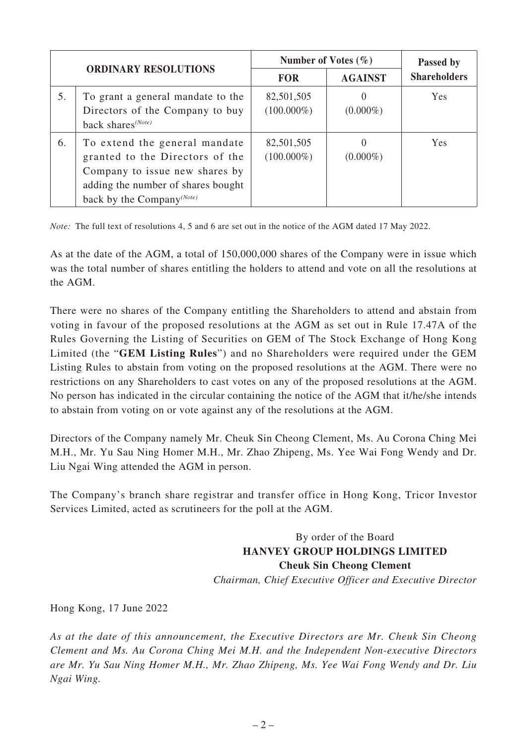| <b>ORDINARY RESOLUTIONS</b> |                                                                                                                                                                                   | Number of Votes $(\% )$     |                | Passed by           |
|-----------------------------|-----------------------------------------------------------------------------------------------------------------------------------------------------------------------------------|-----------------------------|----------------|---------------------|
|                             |                                                                                                                                                                                   | <b>FOR</b>                  | <b>AGAINST</b> | <b>Shareholders</b> |
| 5.                          | To grant a general mandate to the<br>Directors of the Company to buy<br>back shares <sup>(Note)</sup>                                                                             | 82,501,505<br>$(100.000\%)$ | $(0.000\%)$    | Yes                 |
| 6.                          | To extend the general mandate<br>granted to the Directors of the<br>Company to issue new shares by<br>adding the number of shares bought<br>back by the Company <sup>(Note)</sup> | 82,501,505<br>$(100.000\%)$ | $(0.000\%)$    | <b>Yes</b>          |

*Note:* The full text of resolutions 4, 5 and 6 are set out in the notice of the AGM dated 17 May 2022.

As at the date of the AGM, a total of 150,000,000 shares of the Company were in issue which was the total number of shares entitling the holders to attend and vote on all the resolutions at the AGM.

There were no shares of the Company entitling the Shareholders to attend and abstain from voting in favour of the proposed resolutions at the AGM as set out in Rule 17.47A of the Rules Governing the Listing of Securities on GEM of The Stock Exchange of Hong Kong Limited (the "**GEM Listing Rules**") and no Shareholders were required under the GEM Listing Rules to abstain from voting on the proposed resolutions at the AGM. There were no restrictions on any Shareholders to cast votes on any of the proposed resolutions at the AGM. No person has indicated in the circular containing the notice of the AGM that it/he/she intends to abstain from voting on or vote against any of the resolutions at the AGM.

Directors of the Company namely Mr. Cheuk Sin Cheong Clement, Ms. Au Corona Ching Mei M.H., Mr. Yu Sau Ning Homer M.H., Mr. Zhao Zhipeng, Ms. Yee Wai Fong Wendy and Dr. Liu Ngai Wing attended the AGM in person.

The Company's branch share registrar and transfer office in Hong Kong, Tricor Investor Services Limited, acted as scrutineers for the poll at the AGM.

> By order of the Board **HANVEY GROUP HOLDINGS LIMITED Cheuk Sin Cheong Clement** *Chairman, Chief Executive Officer and Executive Director*

Hong Kong, 17 June 2022

*As at the date of this announcement, the Executive Directors are Mr. Cheuk Sin Cheong Clement and Ms. Au Corona Ching Mei M.H. and the Independent Non-executive Directors are Mr. Yu Sau Ning Homer M.H., Mr. Zhao Zhipeng, Ms. Yee Wai Fong Wendy and Dr. Liu Ngai Wing.*